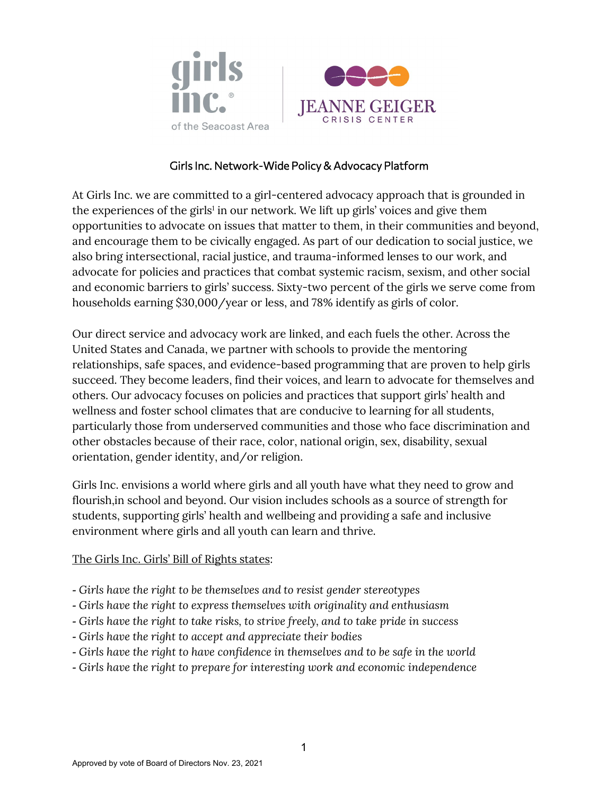



## Girls Inc. Network-Wide Policy & Advocacy Platform

At Girls Inc. we are committed to a girl-centered advocacy approach that is grounded in the experiences of the girls<sup>1</sup> in our network. We lift up girls' voices and give them opportunities to advocate on issues that matter to them, in their communities and beyond, and encourage them to be civically engaged. As part of our dedication to social justice, we also bring intersectional, racial justice, and trauma-informed lenses to our work, and advocate for policies and practices that combat systemic racism, sexism, and other social and economic barriers to girls' success. Sixty-two percent of the girls we serve come from households earning \$30,000/year or less, and 78% identify as girls of color.

Our direct service and advocacy work are linked, and each fuels the other. Across the United States and Canada, we partner with schools to provide the mentoring relationships, safe spaces, and evidence-based programming that are proven to help girls succeed. They become leaders, find their voices, and learn to advocate for themselves and others. Our advocacy focuses on policies and practices that support girls' health and wellness and foster school climates that are conducive to learning for all students, particularly those from underserved communities and those who face discrimination and other obstacles because of their race, color, national origin, sex, disability, sexual orientation, gender identity, and/or religion.

Girls Inc. envisions a world where girls and all youth have what they need to grow and flourish,in school and beyond. Our vision includes schools as a source of strength for students, supporting girls' health and wellbeing and providing a safe and inclusive environment where girls and all youth can learn and thrive.

#### The Girls Inc. Girls' Bill of Rights states:

- *- Girls have the right to be themselves and to resist gender stereotypes*
- *- Girls have the right to express themselves with originality and enthusiasm*
- *- Girls have the right to take risks, to strive freely, and to take pride in success*
- *- Girls have the right to accept and appreciate their bodies*
- *- Girls have the right to have confidence in themselves and to be safe in the world*
- *- Girls have the right to prepare for interesting work and economic independence*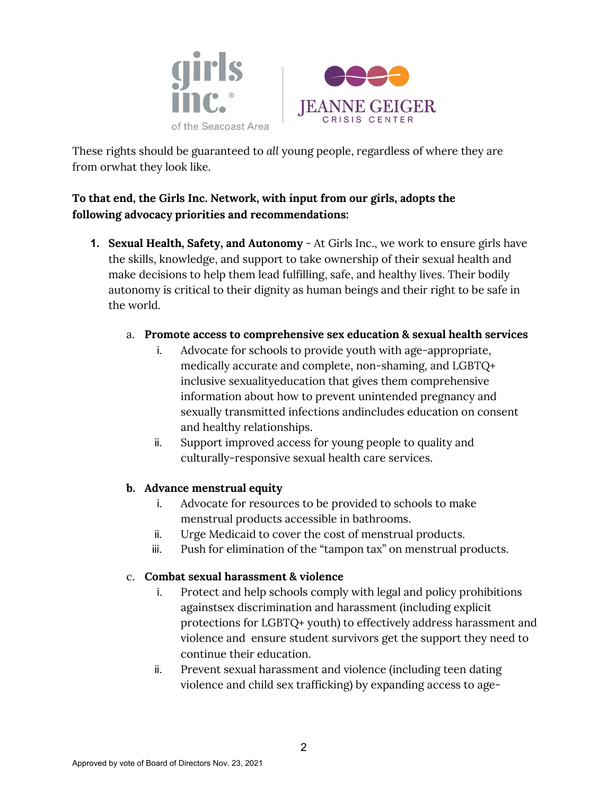



These rights should be guaranteed to *all* young people, regardless of where they are from orwhat they look like.

# **To that end, the Girls Inc. Network, with input from our girls, adopts the following advocacy priorities and recommendations:**

**1. Sexual Health, Safety, and Autonomy** - At Girls Inc., we work to ensure girls have the skills, knowledge, and support to take ownership of their sexual health and make decisions to help them lead fulfilling, safe, and healthy lives. Their bodily autonomy is critical to their dignity as human beings and their right to be safe in the world.

### a. **Promote access to comprehensive sex education & sexual health services**

- i. Advocate for schools to provide youth with age-appropriate, medically accurate and complete, non-shaming, and LGBTQ+ inclusive sexualityeducation that gives them comprehensive information about how to prevent unintended pregnancy and sexually transmitted infections and includes education on consent and healthy relationships.
- ii. Support improved access for young people to quality and culturally- responsive sexual health care services.

### **b. Advance menstrual equity**

- i. Advocate for resources to be provided to schools to make menstrual products accessible in bathrooms.
- ii. Urge Medicaid to cover the cost of menstrual products.
- iii. Push for elimination of the "tampon tax" on menstrual products.

### c. **Combat sexual harassment & violence**

- i. Protect and help schools comply with legal and policy prohibitions againstsex discrimination and harassment (including explicit protections for LGBTQ+ youth) to effectively address harassment and violence and ensure student survivors get the support they need to continue their education.
- ii. Prevent sexual harassment and violence (including teen dating violence and child sex trafficking) by expanding access to age-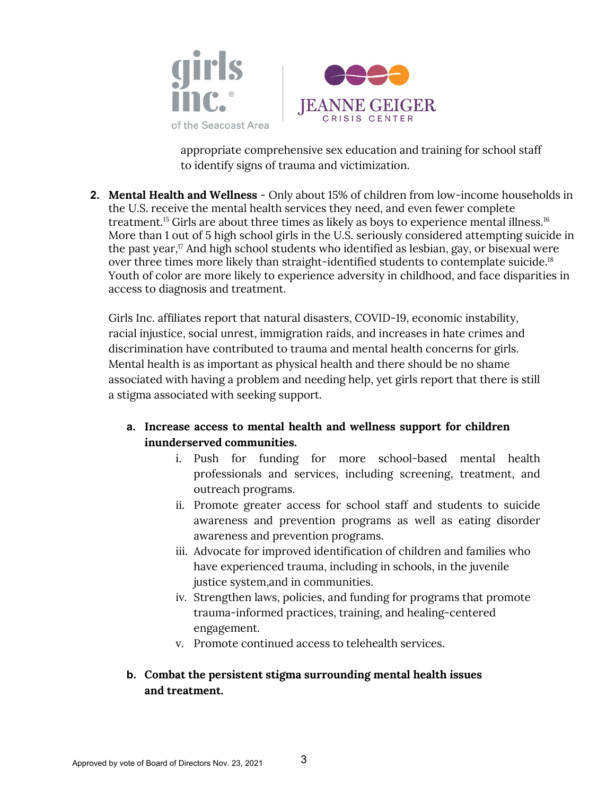



appropriate comprehensive sex education and training for school staff to identify signs of trauma and victimization.

**2. Mental Health and Wellness** - Only about 15% of children from low-income households in the U.S. receive the mental health services they need, and even fewer complete treatment.<sup>15</sup> Girls are about three times as likely as boys to experience mental illness.<sup>16</sup> More than 1 out of 5 high school girls in the U.S. seriously considered attempting suicide in the past year,<sup>17</sup> And high school students who identified as lesbian, gay, or bisexual were over three times more likely than straight-identified students to contemplate suicide.<sup>18</sup> Youth of color are more likely to experience adversity in childhood, and face disparities in access to diagnosis and treatment.

Girls Inc. affiliates report that natural disasters, COVID-19, economic instability, racial injustice, social unrest, immigration raids, and increases in hate crimes and discrimination have contributed to trauma and mental health concerns for girls. Mental health is as important as physical health and there should be no shame associated with having a problem and needing help, yet girls report that there is still a stigma associated with seeking support.

- **a. Increase access to mental health and wellness support for children inunderserved communities.**
	- i. Push for funding for more school-based mental health professionals and services, including screening, treatment, and outreach programs.
	- ii. Promote greater access for school staff and students to suicide awareness and prevention programs as well as eating disorder awareness and prevention programs.
	- iii. Advocate for improved identification of children and families who have experienced trauma, including in schools, in the juvenile justice system,and in communities.
	- iv. Strengthen laws, policies, and funding for programs that promote trauma- informed practices, training, and healing-centered engagement.
	- v. Promote continued access to telehealth services.

# **b. Combat the persistent stigma surrounding mental health issues and treatment.**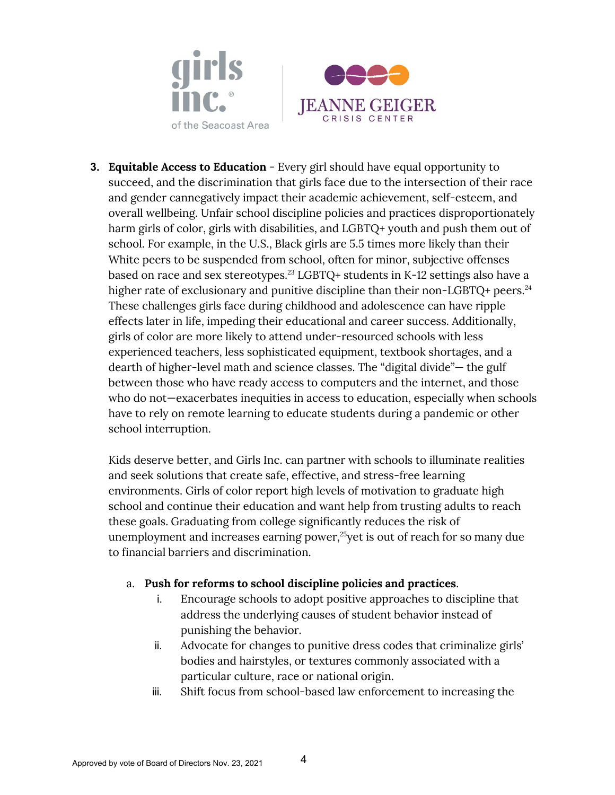



**3. Equitable Access to Education** - Every girl should have equal opportunity to succeed, and the discrimination that girls face due to the intersection of their race and gender cannegatively impact their academic achievement, self-esteem, and overall wellbeing. Unfair school discipline policies and practices disproportionately harm girls of color, girls with disabilities, and LGBTQ+ youth and push them out of school. For example, in the U.S., Black girls are 5.5 times more likely than their White peers to be suspended from school, often for minor, subjective offenses based on race and sex stereotypes.<sup>23</sup> LGBTQ+ students in K-12 settings also have a higher rate of exclusionary and punitive discipline than their non-LGBTQ+ peers.<sup>24</sup> These challenges girls face during childhood and adolescence can have ripple effects later in life, impeding their educational and career success. Additionally, girls of color are more likely to attend under-resourced schools with less experienced teachers, less sophisticated equipment, textbook shortages, and a dearth of higher-level math and science classes. The "digital divide"— the gulf between those who have ready access to computers and the internet, and those who do not—exacerbates inequities in access to education, especially when schools have to rely on remote learning to educate students during a pandemic or other school interruption.

Kids deserve better, and Girls Inc. can partner with schools to illuminate realities and seek solutions that create safe, effective, and stress-free learning environments. Girls of color report high levels of motivation to graduate high school and continue their education and want help from trusting adults to reach these goals. Graduating from college significantly reduces the risk of unemployment and increases earning power, $25$  vet is out of reach for so many due to financial barriers and discrimination.

#### a. **Push for reforms to school discipline policies and practices**.

- i. Encourage schools to adopt positive approaches to discipline that address the underlying causes of student behavior instead of punishing the behavior.
- ii. Advocate for changes to punitive dress codes that criminalize girls' bodies and hairstyles, or textures commonly associated with a particular culture, race or national origin.
- iii. Shift focus from school-based law enforcement to increasing the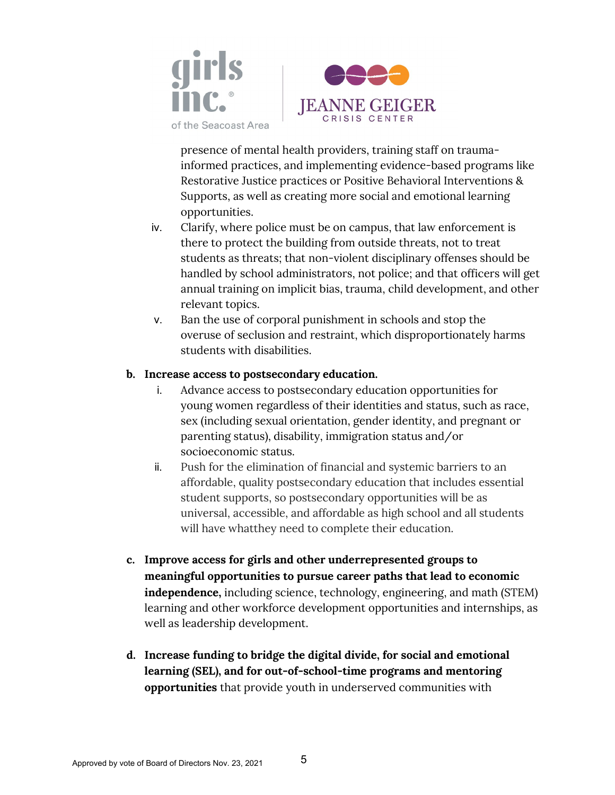



presence of mental health providers, training staff on traumainformed practices, and implementing evidence-based programs like Restorative Justice practices or Positive Behavioral Interventions & Supports, as well as creating more social and emotional learning opportunities.

- iv. Clarify, where police must be on campus, that law enforcement is there to protect the building from outside threats, not to treat students as threats; that non-violent disciplinary offenses should be handled by school administrators, not police; and that officers will get annual training on implicit bias, trauma, child development, and other relevant topics.
- v. Ban the use of corporal punishment in schools and stop the overuse of seclusion and restraint, which disproportionately harms students with disabilities.

#### **b. Increase access to postsecondary education.**

- i. Advance access to postsecondary education opportunities for young women regardless of their identities and status, such as race, sex (including sexual orientation, gender identity, and pregnant or parenting status), disability, immigration status and/or socioeconomic status.
- ii. Push for the elimination of financial and systemic barriers to an affordable, quality postsecondary education that includes essential student supports, so postsecondary opportunities will be as universal, accessible, and affordable as high school and all students will have whatthey need to complete their education.
- **c. Improve access for girls and other underrepresented groups to meaningful opportunities to pursue career paths that lead to economic independence,** including science, technology, engineering, and math (STEM) learning and other workforce development opportunities and internships, as well as leadership development.
- **d. Increase funding to bridge the digital divide, for social and emotional learning (SEL), and for out-of-school-time programs and mentoring opportunities** that provide youth in underserved communities with